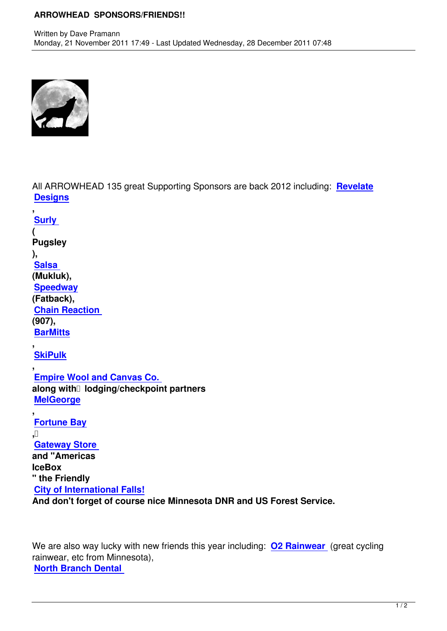

All ARROWHEAD 135 great Supporting Sponsors are back 2012 including: **Revelate Designs**

**, Surly ( [Pugsley](http://www.revelatedesigns.com/) [\),](http://surlybikes.com/)  Salsa (Mukluk), Speedway [\(Fatbac](http://salsacycles.com/)k), Chain Reaction [\(907\),](http://speedwaycyclesak.com/)  BarMitts**

**, [SkiPulk](http://www.chainreactioncycles.us/)**

**, [Empire W](http://barmitts.com/)ool and Canvas Co. [along wi](http://www.skipulk.com/)th lodging/checkpoint partners MelGeorge**

**, [Fortune Bay](http://www.empirecanvasworks.com/entry%20page.htm) , [Gateway St](http://www.melgeorges.com/)ore [and "America](http://www.fortunebay.com/)s IceBox [" the Friendly](http://www.gatewaygeneral.com/)  City of International Falls! And don't forget of course nice Minnesota DNR and US Forest Service.**

We are also way lucky with new friends this year including: **O2 Rainwear** (great cycling rainwear, etc from Minnesota), **North Branch Dental**